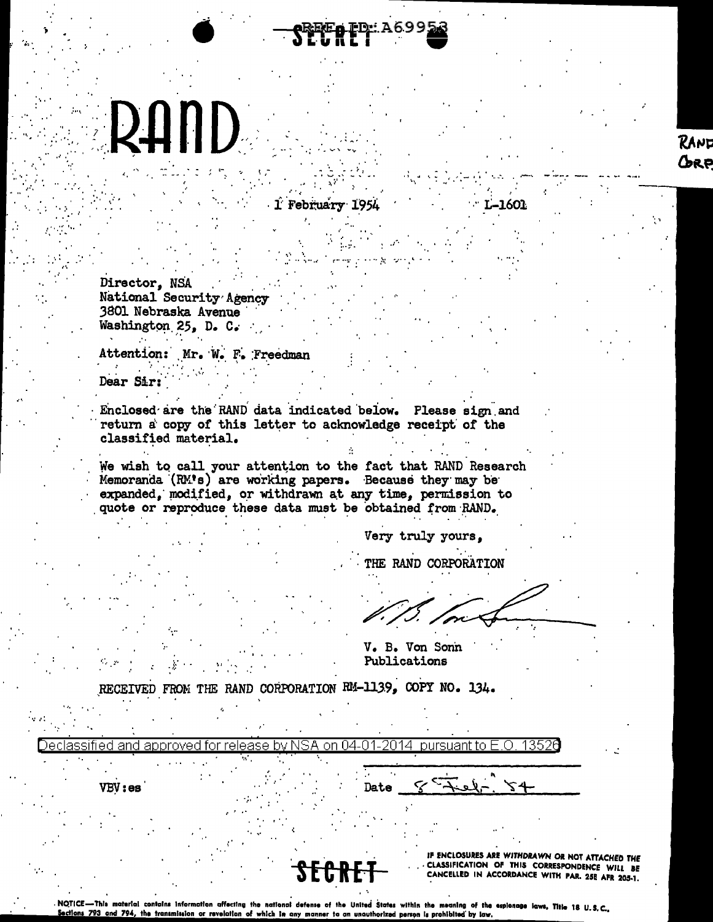## RAND

1 February 1954

Director, NSA National Security Agency 3801 Nebraska Avenue Washington 25, D. C.

Attention: Mr. W. F. Freedman

Dear Sir:

Enclosed are the RAND data indicated below. Please sign and return a copy of this letter to acknowledge receipt of the classified material.

We wish to call your attention to the fact that RAND Research Memoranda (RM's) are working papers. Because they may be expanded, modified, or withdrawn at any time, permission to quote or reproduce these data must be obtained from RAND.

Very truly yours.

THE RAND CORPORATION

-1601

V. B. Von Sonn Publications

RECEIVED FROM THE RAND CORPORATION RM-1139, COPY NO. 134.

| . .                                                                                    |  |
|----------------------------------------------------------------------------------------|--|
| <u>04.01.20</u><br>lassified and approved for release by NSA on<br>14<br>nureuant to l |  |
|                                                                                        |  |
| VBV:es<br>Date                                                                         |  |
|                                                                                        |  |

IF ENCLOSURES ARE WITHDRAWN OR NOT ATTACHED THE CLASSIFICATION OF THIS CORRESPONDENCE WILL BE CANCELLED IN ACCORDANCE WITH PAR. 25E AFR 205-1.

NOTICE-This material contains information affecting the national defense of the United States within the meaning of the espionage laws, Title 18 U.S.C. ections 793 and 794, the transmission or revelation of which in any manner to an unauthorized person is prohibited by law.

## RANE GRP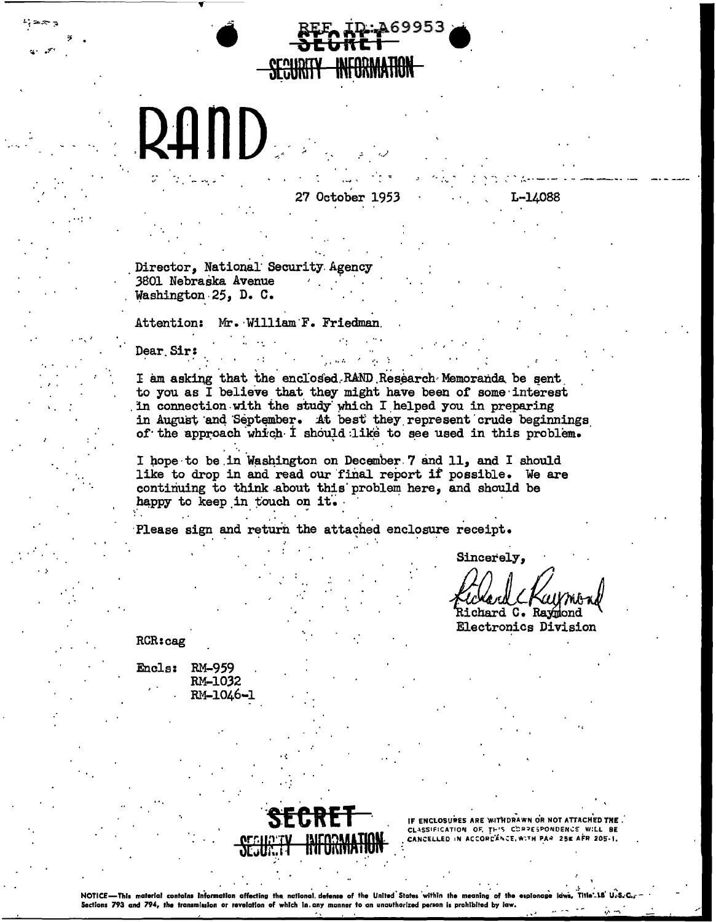

27 October 1953

269953

L-14088

Director. National Security Agency 3801 Nebraska Avenue Washington 25, D. C.

Attention: Mr. William F. Friedman

Dear Sir:

I am asking that the enclosed RAND Research Memoranda be sent to you as I believe that they might have been of some interest in connection with the study which I helped you in preparing<br>in August and September. At best they represent crude beginnings of the approach which I should like to see used in this problem.

I hope to be in Washington on December 7 and 11, and I should like to drop in and read our final report if possible. We are continuing to think about this problem here, and should be happy to keep in touch on it.

Please sign and return the attached enclosure receipt.

Sincerely,

Richard C. Ravmond

**Electronics Division** 

RCR:cag

Encls: RM-959 RM-1032 RM-1046-1



IF ENCLOSURES ARE WITHDRAWN OR NOT ATTACHED THE. CLASSIFICATION OF THIS CORRESPONDENCE WILL BE<br>CLASSIFICATION OF THIS CORRESPONDENCE WILL BE

NOTICE-This material contains information affecting the national defense of the United States within the meaning of the expic Sections 793 and 794, the transmission or revelation of which in any manner to an unauthorized person is prohibited by law.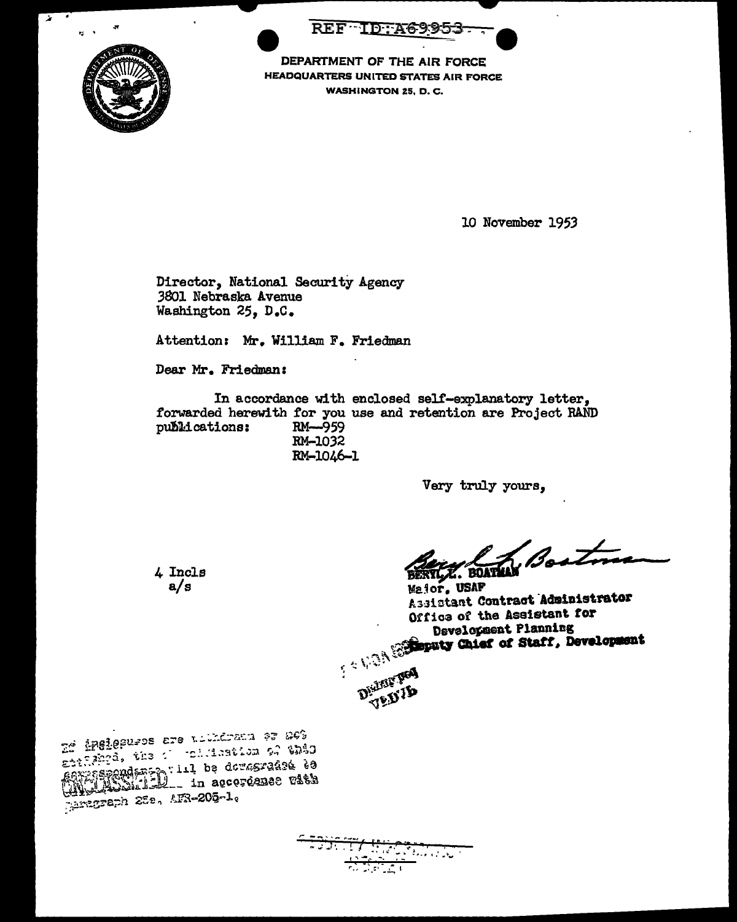REF ID: A6995.



DEPARTMENT OF THE AIR FORCE HEADQUARTERS UNITED STATES AIR FORCE WASHINGTON Z5, D. C.

10 November 1953

Director, National Security Agency 3801 Nebraska Avenue Washington 25, D.c.

Attention: Mr. William F. Friedman

Dear Mr. Friedman:

In accordance with enclosed self-explanatory letter, forwarded herewith for you use and retention are Project RAND publications:  $RM \rightarrow 959$ publications: RM-1032 RM-1046-l

Very truly yours,

**Boot** Z. BOATMAN

Major, USAP Assistant Contract Administrator Office of the Assistant for Office of the Assistant for<br>Development Planning<br>Reputy Chief of Staff, Development



te inelegures are to distinct to this Erangen, the contraction of the Millender 225. AFR-205-1.

4 Incle a/s

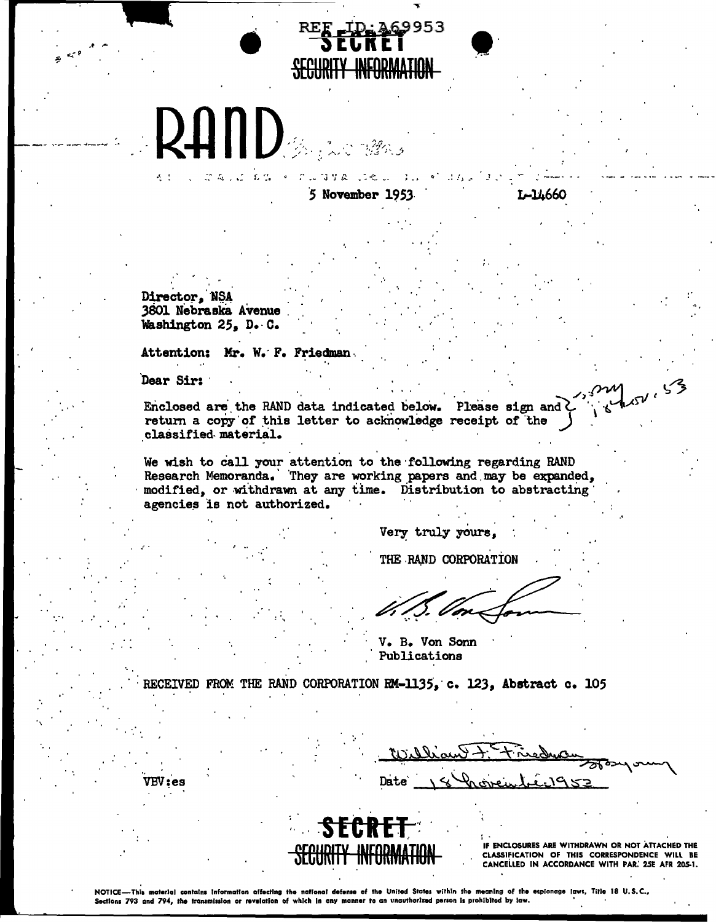## 9953 SECURITY INFORMATION

5 November 195

Director, NSA 3801 Nebraska Avenue Washington 25. D. C.

Attention: Mr. W. F. Friedman

 $\begin{array}{ccccccccc} & \mathbb{C}^* & \mathbb{C}^* & \mathbb{C} & \mathbb{C} & \mathbb{C} & \mathbb{C} & \mathbb{C} & \mathbb{C} & \mathbb{C} & \mathbb{C} & \mathbb{C} & \mathbb{C} & \mathbb{C} & \mathbb{C} & \mathbb{C} & \mathbb{C} & \mathbb{C} & \mathbb{C} & \mathbb{C} & \mathbb{C} & \mathbb{C} & \mathbb{C} & \mathbb{C} & \mathbb{C} & \mathbb{C} & \mathbb{C} & \mathbb{C} & \mathbb{C} & \mathbb{C} & \mathbb$ 

**RAND And Mars** 

Dear Sir:

VBV : es

 $\Lambda=1$ 

Enclosed are the RAND data indicated below. Please sign and ? return a copy of this letter to acknowledge receipt of the classified material.

We wish to call your attention to the following regarding RAND Research Memoranda. They are working papers and may be expanded, modified, or withdrawn at any time. Distribution to abstracting agencies is not authorized.

Very truly yours.

THE RAND CORPORATION

V. B. Von Sonn Publications

RECEIVED FROM THE RAND CORPORATION RM-1135, c. 123, Abstract c. 105

<u>liant t Et Ersducen</u><br>18 Proventier 95 Date`

1-14660

El 152.53



IF ENCLOSURES ARE WITHDRAWN OR NOT ATTACHED THE CLASSIFICATION OF THIS CORRESPONDENCE WILL BE CANCELLED IN ACCORDANCE WITH PAR. 25E AFR 205-1.

NOTICE-This material contains information affecting the national defense of the United States within the meaning of the espianage laws, Title 18 U.S.C., Sections 793 and 794, the transmission or revelation of which in any manner to an unauthorized person is prohibited by law.